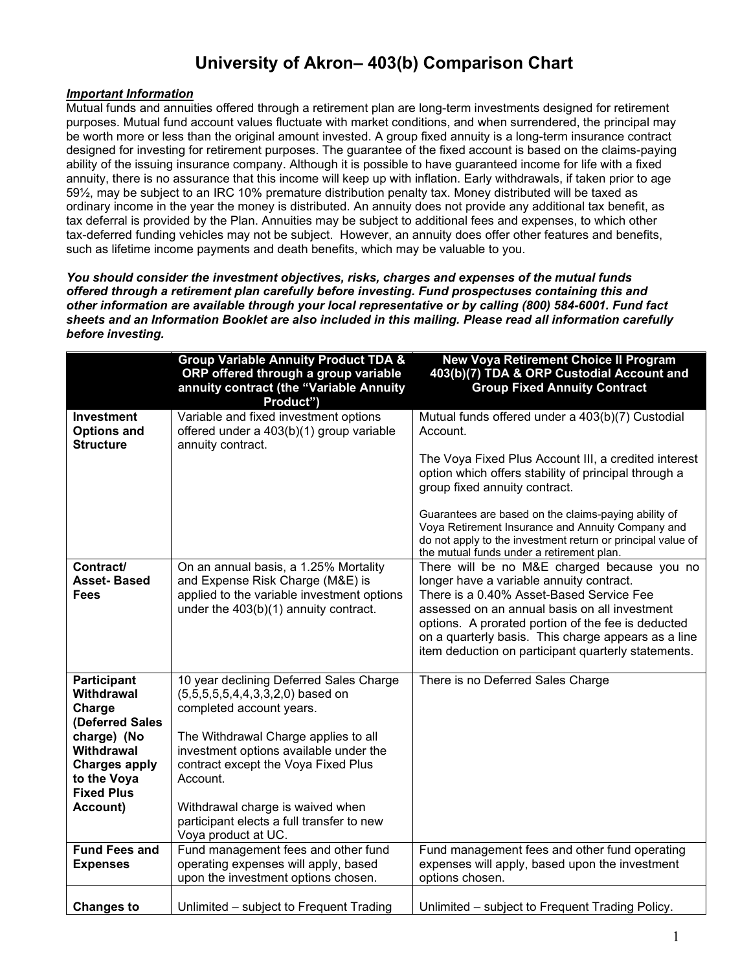## **University of Akron– 403(b) Comparison Chart**

## *Important Information*

Mutual funds and annuities offered through a retirement plan are long-term investments designed for retirement purposes. Mutual fund account values fluctuate with market conditions, and when surrendered, the principal may be worth more or less than the original amount invested. A group fixed annuity is a long-term insurance contract designed for investing for retirement purposes. The guarantee of the fixed account is based on the claims-paying ability of the issuing insurance company. Although it is possible to have guaranteed income for life with a fixed annuity, there is no assurance that this income will keep up with inflation. Early withdrawals, if taken prior to age 59½, may be subject to an IRC 10% premature distribution penalty tax. Money distributed will be taxed as ordinary income in the year the money is distributed. An annuity does not provide any additional tax benefit, as tax deferral is provided by the Plan. Annuities may be subject to additional fees and expenses, to which other tax-deferred funding vehicles may not be subject. However, an annuity does offer other features and benefits, such as lifetime income payments and death benefits, which may be valuable to you.

*You should consider the investment objectives, risks, charges and expenses of the mutual funds offered through a retirement plan carefully before investing. Fund prospectuses containing this and other information are available through your local representative or by calling (800) 584-6001. Fund fact sheets and an Information Booklet are also included in this mailing. Please read all information carefully before investing.* 

|                                                                                                          | <b>Group Variable Annuity Product TDA &amp;</b><br>ORP offered through a group variable<br>annuity contract (the "Variable Annuity<br>Product")                  | <b>New Voya Retirement Choice II Program</b><br>403(b)(7) TDA & ORP Custodial Account and<br><b>Group Fixed Annuity Contract</b>                                                                                                                                                                                                                         |
|----------------------------------------------------------------------------------------------------------|------------------------------------------------------------------------------------------------------------------------------------------------------------------|----------------------------------------------------------------------------------------------------------------------------------------------------------------------------------------------------------------------------------------------------------------------------------------------------------------------------------------------------------|
| Investment<br><b>Options and</b><br><b>Structure</b>                                                     | Variable and fixed investment options<br>offered under a 403(b)(1) group variable<br>annuity contract.                                                           | Mutual funds offered under a 403(b)(7) Custodial<br>Account.                                                                                                                                                                                                                                                                                             |
|                                                                                                          |                                                                                                                                                                  | The Voya Fixed Plus Account III, a credited interest<br>option which offers stability of principal through a<br>group fixed annuity contract.                                                                                                                                                                                                            |
|                                                                                                          |                                                                                                                                                                  | Guarantees are based on the claims-paying ability of<br>Voya Retirement Insurance and Annuity Company and<br>do not apply to the investment return or principal value of<br>the mutual funds under a retirement plan.                                                                                                                                    |
| Contract/<br><b>Asset-Based</b><br>Fees                                                                  | On an annual basis, a 1.25% Mortality<br>and Expense Risk Charge (M&E) is<br>applied to the variable investment options<br>under the 403(b)(1) annuity contract. | There will be no M&E charged because you no<br>longer have a variable annuity contract.<br>There is a 0.40% Asset-Based Service Fee<br>assessed on an annual basis on all investment<br>options. A prorated portion of the fee is deducted<br>on a quarterly basis. This charge appears as a line<br>item deduction on participant quarterly statements. |
| <b>Participant</b><br><b>Withdrawal</b><br>Charge                                                        | 10 year declining Deferred Sales Charge<br>$(5,5,5,5,5,4,4,3,3,2,0)$ based on<br>completed account years.                                                        | There is no Deferred Sales Charge                                                                                                                                                                                                                                                                                                                        |
| (Deferred Sales<br>charge) (No<br>Withdrawal<br><b>Charges apply</b><br>to the Voya<br><b>Fixed Plus</b> | The Withdrawal Charge applies to all<br>investment options available under the<br>contract except the Voya Fixed Plus<br>Account.                                |                                                                                                                                                                                                                                                                                                                                                          |
| Account)                                                                                                 | Withdrawal charge is waived when<br>participant elects a full transfer to new<br>Voya product at UC.                                                             |                                                                                                                                                                                                                                                                                                                                                          |
| <b>Fund Fees and</b><br><b>Expenses</b>                                                                  | Fund management fees and other fund<br>operating expenses will apply, based<br>upon the investment options chosen.                                               | Fund management fees and other fund operating<br>expenses will apply, based upon the investment<br>options chosen.                                                                                                                                                                                                                                       |
| <b>Changes to</b>                                                                                        | Unlimited – subject to Frequent Trading                                                                                                                          | Unlimited – subject to Frequent Trading Policy.                                                                                                                                                                                                                                                                                                          |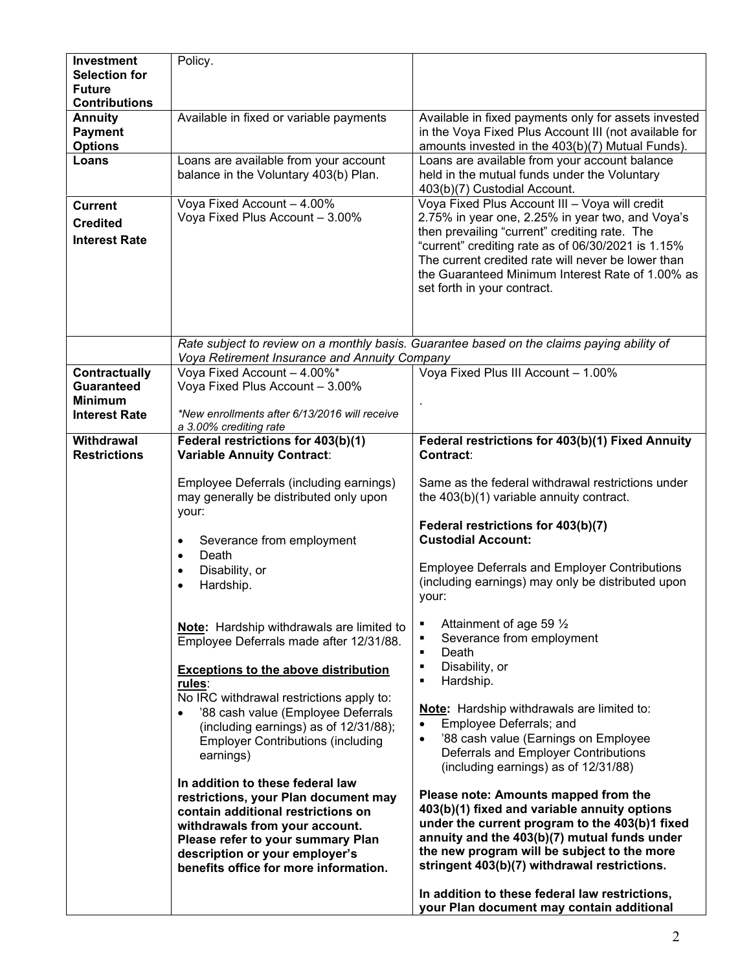| <b>Investment</b><br><b>Selection for</b><br><b>Future</b><br><b>Contributions</b> | Policy.                                                                                                                                                                                                                                                                                                                                                                                                                                                                                                                                                                                                      |                                                                                                                                                                                                                                                                                                                                                                                                                                                                                                                                                                                                                                                                                                                                                                                            |
|------------------------------------------------------------------------------------|--------------------------------------------------------------------------------------------------------------------------------------------------------------------------------------------------------------------------------------------------------------------------------------------------------------------------------------------------------------------------------------------------------------------------------------------------------------------------------------------------------------------------------------------------------------------------------------------------------------|--------------------------------------------------------------------------------------------------------------------------------------------------------------------------------------------------------------------------------------------------------------------------------------------------------------------------------------------------------------------------------------------------------------------------------------------------------------------------------------------------------------------------------------------------------------------------------------------------------------------------------------------------------------------------------------------------------------------------------------------------------------------------------------------|
| <b>Annuity</b><br><b>Payment</b><br><b>Options</b>                                 | Available in fixed or variable payments                                                                                                                                                                                                                                                                                                                                                                                                                                                                                                                                                                      | Available in fixed payments only for assets invested<br>in the Voya Fixed Plus Account III (not available for<br>amounts invested in the 403(b)(7) Mutual Funds).                                                                                                                                                                                                                                                                                                                                                                                                                                                                                                                                                                                                                          |
| Loans                                                                              | Loans are available from your account<br>balance in the Voluntary 403(b) Plan.                                                                                                                                                                                                                                                                                                                                                                                                                                                                                                                               | Loans are available from your account balance<br>held in the mutual funds under the Voluntary<br>403(b)(7) Custodial Account.                                                                                                                                                                                                                                                                                                                                                                                                                                                                                                                                                                                                                                                              |
| <b>Current</b><br><b>Credited</b><br><b>Interest Rate</b>                          | Voya Fixed Account - 4.00%<br>Voya Fixed Plus Account - 3.00%                                                                                                                                                                                                                                                                                                                                                                                                                                                                                                                                                | Voya Fixed Plus Account III - Voya will credit<br>2.75% in year one, 2.25% in year two, and Voya's<br>then prevailing "current" crediting rate. The<br>"current" crediting rate as of 06/30/2021 is 1.15%<br>The current credited rate will never be lower than<br>the Guaranteed Minimum Interest Rate of 1.00% as<br>set forth in your contract.                                                                                                                                                                                                                                                                                                                                                                                                                                         |
|                                                                                    | Rate subject to review on a monthly basis. Guarantee based on the claims paying ability of<br>Voya Retirement Insurance and Annuity Company                                                                                                                                                                                                                                                                                                                                                                                                                                                                  |                                                                                                                                                                                                                                                                                                                                                                                                                                                                                                                                                                                                                                                                                                                                                                                            |
| Contractually<br><b>Guaranteed</b><br><b>Minimum</b><br><b>Interest Rate</b>       | Voya Fixed Account - 4.00%*<br>Voya Fixed Plus Account - 3.00%<br>*New enrollments after 6/13/2016 will receive<br>a 3.00% crediting rate                                                                                                                                                                                                                                                                                                                                                                                                                                                                    | Voya Fixed Plus III Account - 1.00%                                                                                                                                                                                                                                                                                                                                                                                                                                                                                                                                                                                                                                                                                                                                                        |
| Withdrawal<br><b>Restrictions</b>                                                  | Federal restrictions for 403(b)(1)<br><b>Variable Annuity Contract:</b>                                                                                                                                                                                                                                                                                                                                                                                                                                                                                                                                      | Federal restrictions for 403(b)(1) Fixed Annuity<br><b>Contract:</b>                                                                                                                                                                                                                                                                                                                                                                                                                                                                                                                                                                                                                                                                                                                       |
|                                                                                    | Employee Deferrals (including earnings)<br>may generally be distributed only upon<br>your:<br>Severance from employment<br>$\bullet$<br>Death<br>$\bullet$                                                                                                                                                                                                                                                                                                                                                                                                                                                   | Same as the federal withdrawal restrictions under<br>the 403(b)(1) variable annuity contract.<br>Federal restrictions for 403(b)(7)<br><b>Custodial Account:</b>                                                                                                                                                                                                                                                                                                                                                                                                                                                                                                                                                                                                                           |
|                                                                                    | Disability, or<br>$\bullet$<br>Hardship.<br>$\bullet$                                                                                                                                                                                                                                                                                                                                                                                                                                                                                                                                                        | <b>Employee Deferrals and Employer Contributions</b><br>(including earnings) may only be distributed upon<br>your:                                                                                                                                                                                                                                                                                                                                                                                                                                                                                                                                                                                                                                                                         |
|                                                                                    | <b>Note:</b> Hardship withdrawals are limited to<br>Employee Deferrals made after 12/31/88.<br><b>Exceptions to the above distribution</b><br>rules:<br>No IRC withdrawal restrictions apply to:<br>'88 cash value (Employee Deferrals<br>(including earnings) as of 12/31/88);<br><b>Employer Contributions (including</b><br>earnings)<br>In addition to these federal law<br>restrictions, your Plan document may<br>contain additional restrictions on<br>withdrawals from your account.<br>Please refer to your summary Plan<br>description or your employer's<br>benefits office for more information. | Attainment of age 59 $\frac{1}{2}$<br>٠<br>Severance from employment<br>٠<br>Death<br>$\blacksquare$<br>Disability, or<br>$\blacksquare$<br>Hardship.<br>$\blacksquare$<br>Note: Hardship withdrawals are limited to:<br>Employee Deferrals; and<br>$\bullet$<br>'88 cash value (Earnings on Employee<br>$\bullet$<br>Deferrals and Employer Contributions<br>(including earnings) as of 12/31/88)<br>Please note: Amounts mapped from the<br>403(b)(1) fixed and variable annuity options<br>under the current program to the 403(b)1 fixed<br>annuity and the 403(b)(7) mutual funds under<br>the new program will be subject to the more<br>stringent 403(b)(7) withdrawal restrictions.<br>In addition to these federal law restrictions,<br>your Plan document may contain additional |